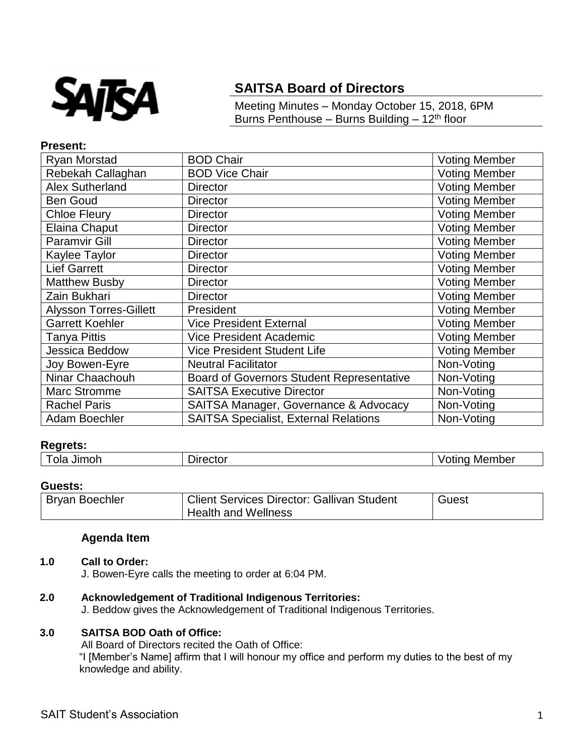

# **SAITSA Board of Directors**

Meeting Minutes – Monday October 15, 2018, 6PM Burns Penthouse – Burns Building – 12<sup>th</sup> floor

## **Present:**

| Ryan Morstad                  | <b>BOD Chair</b>                                 | <b>Voting Member</b> |
|-------------------------------|--------------------------------------------------|----------------------|
| Rebekah Callaghan             | <b>BOD Vice Chair</b>                            | <b>Voting Member</b> |
| <b>Alex Sutherland</b>        | <b>Director</b>                                  | <b>Voting Member</b> |
| <b>Ben Goud</b>               | <b>Director</b>                                  | <b>Voting Member</b> |
| <b>Chloe Fleury</b>           | <b>Director</b>                                  | <b>Voting Member</b> |
| Elaina Chaput                 | <b>Director</b>                                  | <b>Voting Member</b> |
| <b>Paramvir Gill</b>          | <b>Director</b>                                  | <b>Voting Member</b> |
| Kaylee Taylor                 | <b>Director</b>                                  | <b>Voting Member</b> |
| <b>Lief Garrett</b>           | <b>Director</b>                                  | <b>Voting Member</b> |
| <b>Matthew Busby</b>          | <b>Director</b>                                  | <b>Voting Member</b> |
| Zain Bukhari                  | <b>Director</b>                                  | <b>Voting Member</b> |
| <b>Alysson Torres-Gillett</b> | President                                        | Voting Member        |
| <b>Garrett Koehler</b>        | <b>Vice President External</b>                   | <b>Voting Member</b> |
| Tanya Pittis                  | <b>Vice President Academic</b>                   | <b>Voting Member</b> |
| Jessica Beddow                | <b>Vice President Student Life</b>               | <b>Voting Member</b> |
| Joy Bowen-Eyre                | <b>Neutral Facilitator</b>                       | Non-Voting           |
| Ninar Chaachouh               | <b>Board of Governors Student Representative</b> | Non-Voting           |
| <b>Marc Stromme</b>           | <b>SAITSA Executive Director</b>                 | Non-Voting           |
| <b>Rachel Paris</b>           | SAITSA Manager, Governance & Advocacy            | Non-Voting           |
| Adam Boechler                 | <b>SAITSA Specialist, External Relations</b>     | Non-Voting           |

## **Regrets:**

| Jimoh<br>ola | ⊃ırector | -Membe.<br>,,,,,, |
|--------------|----------|-------------------|
|              |          |                   |

#### **Guests:**

| <b>Bryan Boechler</b> | <b>Client Services Director: Gallivan Student</b> | Guest |
|-----------------------|---------------------------------------------------|-------|
|                       | <b>Health and Wellness</b>                        |       |

## **Agenda Item**

## **1.0 Call to Order:**

J. Bowen-Eyre calls the meeting to order at 6:04 PM.

## **2.0 Acknowledgement of Traditional Indigenous Territories:**

J. Beddow gives the Acknowledgement of Traditional Indigenous Territories.

## **3.0 SAITSA BOD Oath of Office:**

All Board of Directors recited the Oath of Office:

"I [Member's Name] affirm that I will honour my office and perform my duties to the best of my knowledge and ability.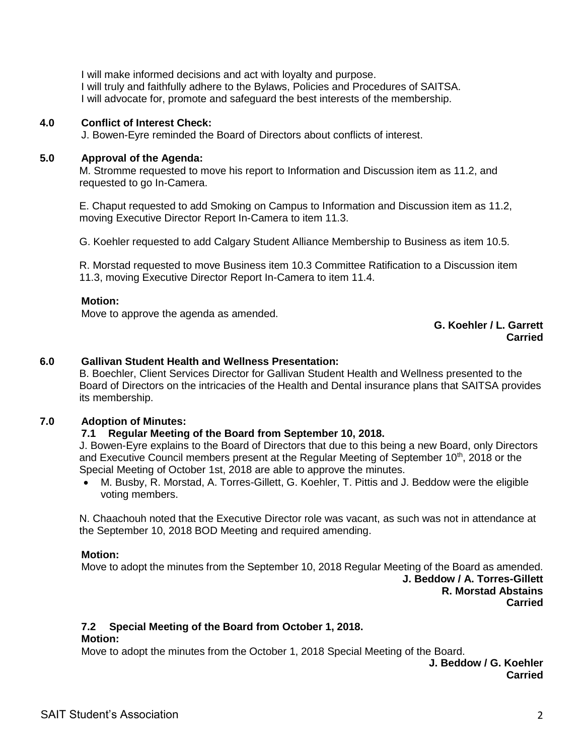I will make informed decisions and act with loyalty and purpose. I will truly and faithfully adhere to the Bylaws, Policies and Procedures of SAITSA. I will advocate for, promote and safeguard the best interests of the membership.

## **4.0 Conflict of Interest Check:**

J. Bowen-Eyre reminded the Board of Directors about conflicts of interest.

## **5.0 Approval of the Agenda:**

M. Stromme requested to move his report to Information and Discussion item as 11.2, and requested to go In-Camera.

E. Chaput requested to add Smoking on Campus to Information and Discussion item as 11.2, moving Executive Director Report In-Camera to item 11.3.

G. Koehler requested to add Calgary Student Alliance Membership to Business as item 10.5.

R. Morstad requested to move Business item 10.3 Committee Ratification to a Discussion item 11.3, moving Executive Director Report In-Camera to item 11.4.

## **Motion:**

Move to approve the agenda as amended.

## **G. Koehler / L. Garrett Carried**

# **6.0 Gallivan Student Health and Wellness Presentation:**

B. Boechler, Client Services Director for Gallivan Student Health and Wellness presented to the Board of Directors on the intricacies of the Health and Dental insurance plans that SAITSA provides its membership.

## **7.0 Adoption of Minutes:**

## **7.1 Regular Meeting of the Board from September 10, 2018.**

J. Bowen-Eyre explains to the Board of Directors that due to this being a new Board, only Directors and Executive Council members present at the Regular Meeting of September  $10<sup>th</sup>$ , 2018 or the Special Meeting of October 1st, 2018 are able to approve the minutes.

 M. Busby, R. Morstad, A. Torres-Gillett, G. Koehler, T. Pittis and J. Beddow were the eligible voting members.

N. Chaachouh noted that the Executive Director role was vacant, as such was not in attendance at the September 10, 2018 BOD Meeting and required amending.

#### **Motion:**

Move to adopt the minutes from the September 10, 2018 Regular Meeting of the Board as amended. **J. Beddow / A. Torres-Gillett R. Morstad Abstains Carried**

## **7.2 Special Meeting of the Board from October 1, 2018.**

#### **Motion:**

Move to adopt the minutes from the October 1, 2018 Special Meeting of the Board.

**J. Beddow / G. Koehler Carried**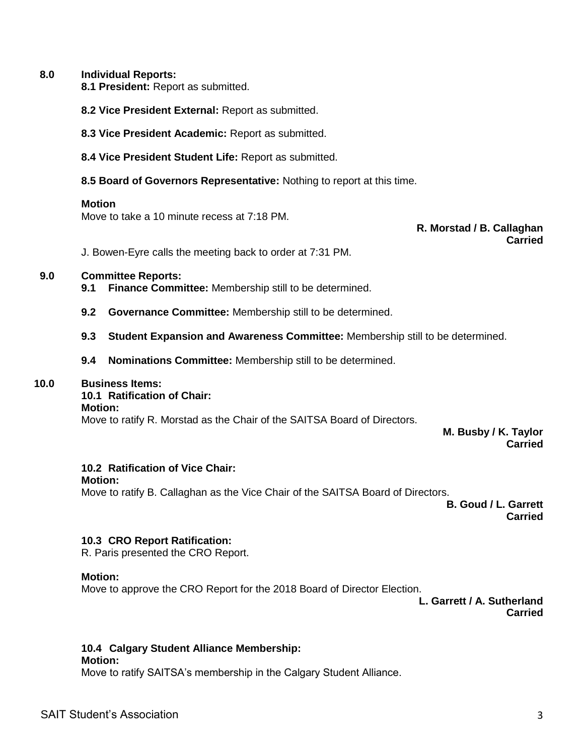#### **8.0 Individual Reports:**

**8.1 President:** Report as submitted.

**8.2 Vice President External:** Report as submitted.

**8.3 Vice President Academic:** Report as submitted.

**8.4 Vice President Student Life:** Report as submitted.

**8.5 Board of Governors Representative:** Nothing to report at this time.

#### **Motion**

Move to take a 10 minute recess at 7:18 PM.

**R. Morstad / B. Callaghan Carried**

J. Bowen-Eyre calls the meeting back to order at 7:31 PM.

#### **9.0 Committee Reports:**

- **9.1 Finance Committee:** Membership still to be determined.
- **9.2 Governance Committee:** Membership still to be determined.
- **9.3 Student Expansion and Awareness Committee:** Membership still to be determined.
- **9.4 Nominations Committee:** Membership still to be determined.

## **10.0 Business Items:**

#### **10.1 Ratification of Chair:**

#### **Motion:**

Move to ratify R. Morstad as the Chair of the SAITSA Board of Directors.

**M. Busby / K. Taylor Carried**

## **10.2 Ratification of Vice Chair:**

**Motion:**

Move to ratify B. Callaghan as the Vice Chair of the SAITSA Board of Directors.

**B. Goud / L. Garrett Carried**

## **10.3 CRO Report Ratification:**

R. Paris presented the CRO Report.

#### **Motion:**

Move to approve the CRO Report for the 2018 Board of Director Election.

**L. Garrett / A. Sutherland Carried**

## **10.4 Calgary Student Alliance Membership:**

#### **Motion:**

Move to ratify SAITSA's membership in the Calgary Student Alliance.